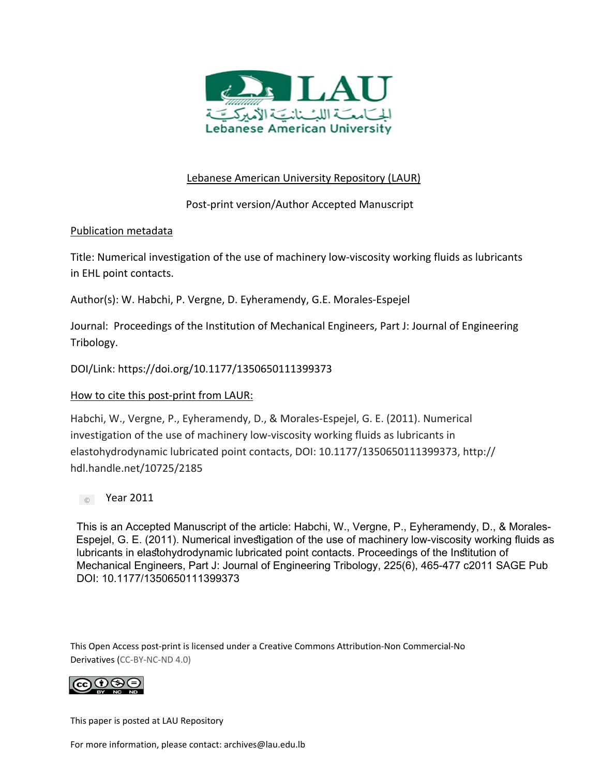

# Lebanese American University Repository (LAUR)

Post‐print version/Author Accepted Manuscript

# Publication metadata

Title: Numerical investigation of the use of machinery low‐viscosity working fluids as lubricants in EHL point contacts.

Author(s): W. Habchi, P. Vergne, D. Eyheramendy, G.E. Morales‐Espejel

Journal: Proceedings of the Institution of Mechanical Engineers, Part J: Journal of Engineering Tribology.

DOI/Link: https://doi.org/10.1177/1350650111399373

# How to cite this post‐print from LAUR:

Habchi, W., Vergne, P., Eyheramendy, D., & Morales‐Espejel, G. E. (2011). Numerical investigation of the use of machinery low‐viscosity working fluids as lubricants in elastohydrodynamic lubricated point contacts, DOI: 10.1177/1350650111399373, http:// hdl.handle.net/10725/2185

**Coll** Year 2011

This is an Accepted Manuscript of the article: Habchi, W., Vergne, P., Eyheramendy, D., & Morales- Espejel, G. E. (2011). Numerical investigation of the use of machinery low-viscosity working fluids as lubricants in elastohydrodynamic lubricated point contacts. Proceedings of the Institution of Mechanical Engineers, Part J: Journal of Engineering Tribology, 225(6), 465-477 c2011 SAGE Pub DOI: 10.1177/1350650111399373

This Open Access post‐print is licensed under a Creative Commons Attribution‐Non Commercial‐No Derivatives (CC‐BY‐NC‐ND 4.0)



This paper is posted at LAU Repository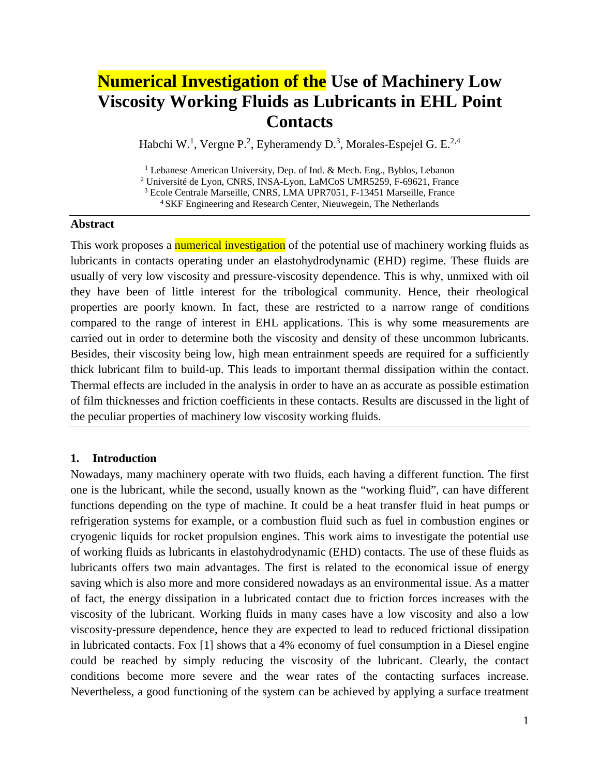# **Numerical Investigation of the Use of Machinery Low Viscosity Working Fluids as Lubricants in EHL Point Contacts**

Habchi W.<sup>1</sup>, Vergne P.<sup>2</sup>, Eyheramendy D.<sup>3</sup>, Morales-Espejel G. E.<sup>2,4</sup>

<sup>1</sup> Lebanese American University, Dep. of Ind. & Mech. Eng., Byblos, Lebanon <sup>2</sup> Université de Lyon, CNRS, INSA-Lyon, LaMCoS UMR5259, F-69621, France <sup>3</sup> Ecole Centrale Marseille, CNRS, LMA UPR7051, F-13451 Marseille, France

4 SKF Engineering and Research Center, Nieuwegein, The Netherlands

#### **Abstract**

This work proposes a numerical investigation of the potential use of machinery working fluids as lubricants in contacts operating under an elastohydrodynamic (EHD) regime. These fluids are usually of very low viscosity and pressure-viscosity dependence. This is why, unmixed with oil they have been of little interest for the tribological community. Hence, their rheological properties are poorly known. In fact, these are restricted to a narrow range of conditions compared to the range of interest in EHL applications. This is why some measurements are carried out in order to determine both the viscosity and density of these uncommon lubricants. Besides, their viscosity being low, high mean entrainment speeds are required for a sufficiently thick lubricant film to build-up. This leads to important thermal dissipation within the contact. Thermal effects are included in the analysis in order to have an as accurate as possible estimation of film thicknesses and friction coefficients in these contacts. Results are discussed in the light of the peculiar properties of machinery low viscosity working fluids.

## **1. Introduction**

Nowadays, many machinery operate with two fluids, each having a different function. The first one is the lubricant, while the second, usually known as the "working fluid", can have different functions depending on the type of machine. It could be a heat transfer fluid in heat pumps or refrigeration systems for example, or a combustion fluid such as fuel in combustion engines or cryogenic liquids for rocket propulsion engines. This work aims to investigate the potential use of working fluids as lubricants in elastohydrodynamic (EHD) contacts. The use of these fluids as lubricants offers two main advantages. The first is related to the economical issue of energy saving which is also more and more considered nowadays as an environmental issue. As a matter of fact, the energy dissipation in a lubricated contact due to friction forces increases with the viscosity of the lubricant. Working fluids in many cases have a low viscosity and also a low viscosity-pressure dependence, hence they are expected to lead to reduced frictional dissipation in lubricated contacts. Fox [\[1\]](#page-16-0) shows that a 4% economy of fuel consumption in a Diesel engine could be reached by simply reducing the viscosity of the lubricant. Clearly, the contact conditions become more severe and the wear rates of the contacting surfaces increase. Nevertheless, a good functioning of the system can be achieved by applying a surface treatment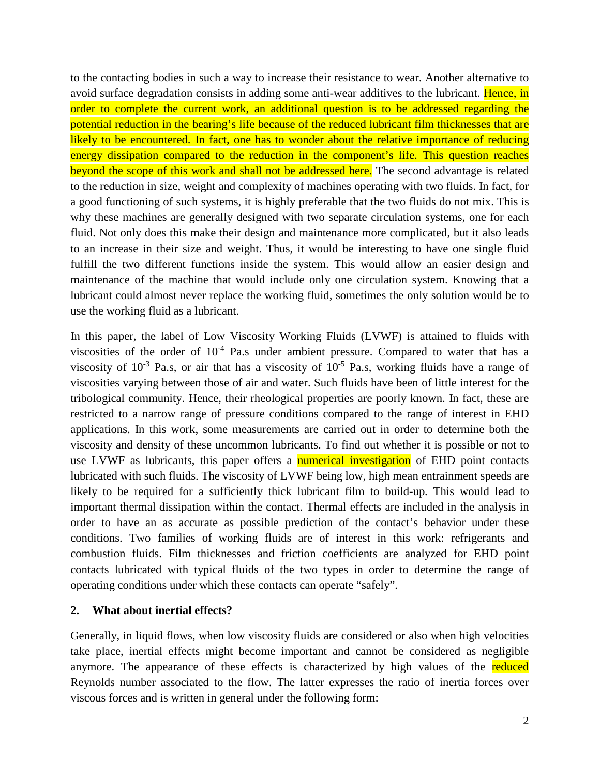to the contacting bodies in such a way to increase their resistance to wear. Another alternative to avoid surface degradation consists in adding some anti-wear additives to the lubricant. Hence, in order to complete the current work, an additional question is to be addressed regarding the potential reduction in the bearing's life because of the reduced lubricant film thicknesses that are likely to be encountered. In fact, one has to wonder about the relative importance of reducing energy dissipation compared to the reduction in the component's life. This question reaches beyond the scope of this work and shall not be addressed here. The second advantage is related to the reduction in size, weight and complexity of machines operating with two fluids. In fact, for a good functioning of such systems, it is highly preferable that the two fluids do not mix. This is why these machines are generally designed with two separate circulation systems, one for each fluid. Not only does this make their design and maintenance more complicated, but it also leads to an increase in their size and weight. Thus, it would be interesting to have one single fluid fulfill the two different functions inside the system. This would allow an easier design and maintenance of the machine that would include only one circulation system. Knowing that a lubricant could almost never replace the working fluid, sometimes the only solution would be to use the working fluid as a lubricant.

In this paper, the label of Low Viscosity Working Fluids (LVWF) is attained to fluids with viscosities of the order of  $10^{-4}$  Pa.s under ambient pressure. Compared to water that has a viscosity of  $10^{-3}$  Pa.s, or air that has a viscosity of  $10^{-5}$  Pa.s, working fluids have a range of viscosities varying between those of air and water. Such fluids have been of little interest for the tribological community. Hence, their rheological properties are poorly known. In fact, these are restricted to a narrow range of pressure conditions compared to the range of interest in EHD applications. In this work, some measurements are carried out in order to determine both the viscosity and density of these uncommon lubricants. To find out whether it is possible or not to use LVWF as lubricants, this paper offers a numerical investigation of EHD point contacts lubricated with such fluids. The viscosity of LVWF being low, high mean entrainment speeds are likely to be required for a sufficiently thick lubricant film to build-up. This would lead to important thermal dissipation within the contact. Thermal effects are included in the analysis in order to have an as accurate as possible prediction of the contact's behavior under these conditions. Two families of working fluids are of interest in this work: refrigerants and combustion fluids. Film thicknesses and friction coefficients are analyzed for EHD point contacts lubricated with typical fluids of the two types in order to determine the range of operating conditions under which these contacts can operate "safely".

#### **2. What about inertial effects?**

Generally, in liquid flows, when low viscosity fluids are considered or also when high velocities take place, inertial effects might become important and cannot be considered as negligible anymore. The appearance of these effects is characterized by high values of the reduced Reynolds number associated to the flow. The latter expresses the ratio of inertia forces over viscous forces and is written in general under the following form: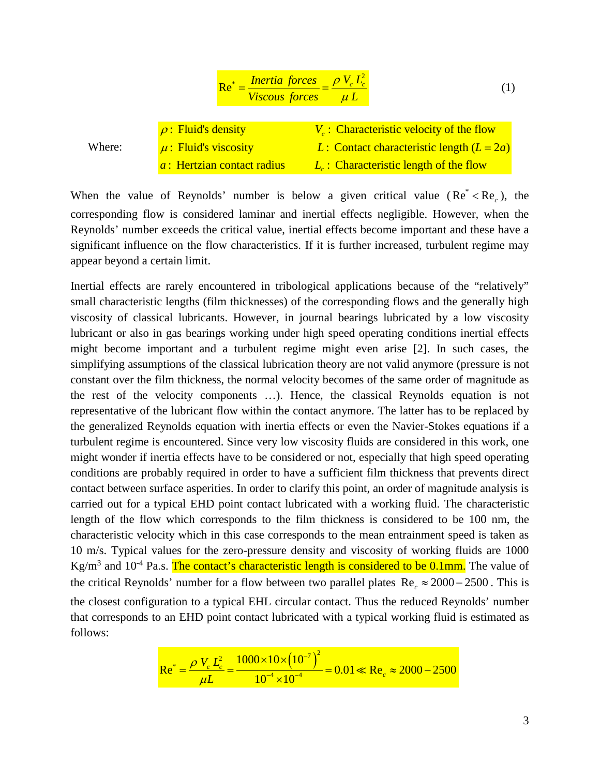$$
Re^* = \frac{Inertia \ forces}{Viscous \ forces} = \frac{\rho V_c L_c^2}{\mu L}
$$
(1)  

$$
\rho
$$
: Fluid's density  

$$
\mu
$$
: Fluid's viscosity  

$$
L
$$
: Contact characteristic length  $(L = 2a)$   

$$
a
$$
: Hertzian contact radius  

$$
L_c
$$
: Characteristic length of the flow

When the value of Reynolds' number is below a given critical value  $(Re^* < Re_*)$ , the corresponding flow is considered laminar and inertial effects negligible. However, when the Reynolds' number exceeds the critical value, inertial effects become important and these have a significant influence on the flow characteristics. If it is further increased, turbulent regime may appear beyond a certain limit.

Inertial effects are rarely encountered in tribological applications because of the "relatively" small characteristic lengths (film thicknesses) of the corresponding flows and the generally high viscosity of classical lubricants. However, in journal bearings lubricated by a low viscosity lubricant or also in gas bearings working under high speed operating conditions inertial effects might become important and a turbulent regime might even arise [\[2\].](#page-16-1) In such cases, the simplifying assumptions of the classical lubrication theory are not valid anymore (pressure is not constant over the film thickness, the normal velocity becomes of the same order of magnitude as the rest of the velocity components …). Hence, the classical Reynolds equation is not representative of the lubricant flow within the contact anymore. The latter has to be replaced by the generalized Reynolds equation with inertia effects or even the Navier-Stokes equations if a turbulent regime is encountered. Since very low viscosity fluids are considered in this work, one might wonder if inertia effects have to be considered or not, especially that high speed operating conditions are probably required in order to have a sufficient film thickness that prevents direct contact between surface asperities. In order to clarify this point, an order of magnitude analysis is carried out for a typical EHD point contact lubricated with a working fluid. The characteristic length of the flow which corresponds to the film thickness is considered to be 100 nm, the characteristic velocity which in this case corresponds to the mean entrainment speed is taken as 10 m/s. Typical values for the zero-pressure density and viscosity of working fluids are 1000 Kg/m<sup>3</sup> and 10<sup>-4</sup> Pa.s. The contact's characteristic length is considered to be 0.1mm. The value of the critical Reynolds' number for a flow between two parallel plates Re  $\approx 2000 - 2500$ . This is the closest configuration to a typical EHL circular contact. Thus the reduced Reynolds' number that corresponds to an EHD point contact lubricated with a typical working fluid is estimated as follows:

$$
\text{Re}^* = \frac{\rho V_c L_c^2}{\mu L} = \frac{1000 \times 10 \times (10^{-7})^2}{10^{-4} \times 10^{-4}} = 0.01 \ll \text{Re}_c \approx 2000 - 2500
$$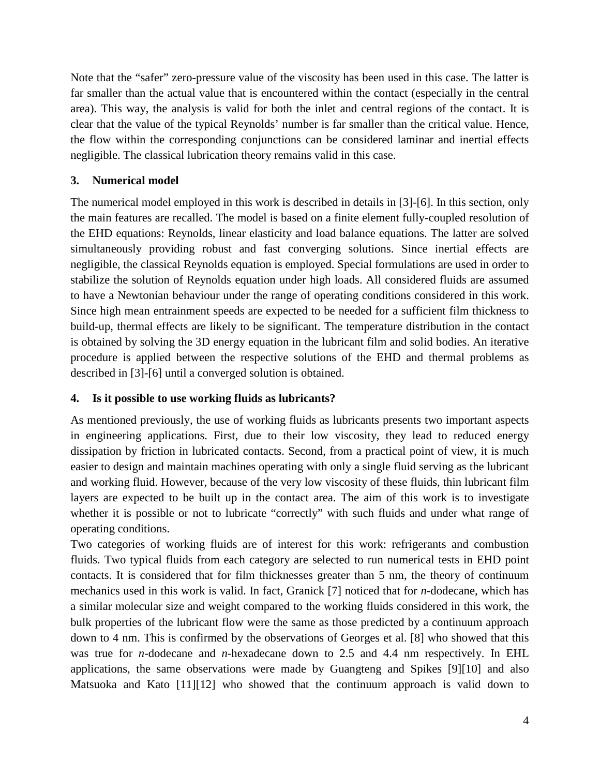Note that the "safer" zero-pressure value of the viscosity has been used in this case. The latter is far smaller than the actual value that is encountered within the contact (especially in the central area). This way, the analysis is valid for both the inlet and central regions of the contact. It is clear that the value of the typical Reynolds' number is far smaller than the critical value. Hence, the flow within the corresponding conjunctions can be considered laminar and inertial effects negligible. The classical lubrication theory remains valid in this case.

# **3. Numerical model**

The numerical model employed in this work is described in details in [\[3\]-](#page-17-0)[\[6\].](#page-17-1) In this section, only the main features are recalled. The model is based on a finite element fully-coupled resolution of the EHD equations: Reynolds, linear elasticity and load balance equations. The latter are solved simultaneously providing robust and fast converging solutions. Since inertial effects are negligible, the classical Reynolds equation is employed. Special formulations are used in order to stabilize the solution of Reynolds equation under high loads. All considered fluids are assumed to have a Newtonian behaviour under the range of operating conditions considered in this work. Since high mean entrainment speeds are expected to be needed for a sufficient film thickness to build-up, thermal effects are likely to be significant. The temperature distribution in the contact is obtained by solving the 3D energy equation in the lubricant film and solid bodies. An iterative procedure is applied between the respective solutions of the EHD and thermal problems as described in [\[3\]-](#page-17-0)[\[6\]](#page-17-1) until a converged solution is obtained.

# **4. Is it possible to use working fluids as lubricants?**

As mentioned previously, the use of working fluids as lubricants presents two important aspects in engineering applications. First, due to their low viscosity, they lead to reduced energy dissipation by friction in lubricated contacts. Second, from a practical point of view, it is much easier to design and maintain machines operating with only a single fluid serving as the lubricant and working fluid. However, because of the very low viscosity of these fluids, thin lubricant film layers are expected to be built up in the contact area. The aim of this work is to investigate whether it is possible or not to lubricate "correctly" with such fluids and under what range of operating conditions.

Two categories of working fluids are of interest for this work: refrigerants and combustion fluids. Two typical fluids from each category are selected to run numerical tests in EHD point contacts. It is considered that for film thicknesses greater than 5 nm, the theory of continuum mechanics used in this work is valid. In fact, Granick [\[7\]](#page-17-2) noticed that for *n*-dodecane, which has a similar molecular size and weight compared to the working fluids considered in this work, the bulk properties of the lubricant flow were the same as those predicted by a continuum approach down to 4 nm. This is confirmed by the observations of Georges et al. [\[8\]](#page-17-3) who showed that this was true for *n*-dodecane and *n*-hexadecane down to 2.5 and 4.4 nm respectively. In EHL applications, the same observations were made by Guangteng and Spikes [\[9\]](#page-17-4)[\[10\]](#page-17-5) and also Matsuoka and Kato [\[11\]](#page-17-6)[\[12\]](#page-17-7) who showed that the continuum approach is valid down to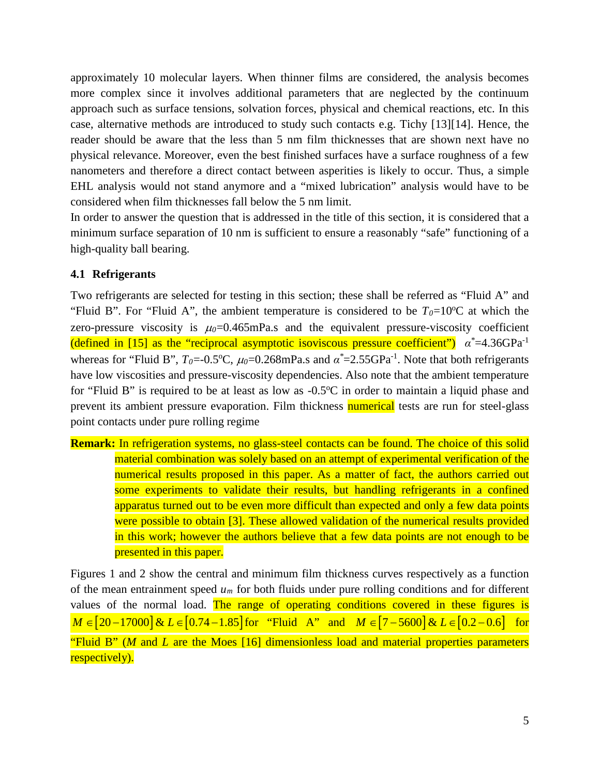approximately 10 molecular layers. When thinner films are considered, the analysis becomes more complex since it involves additional parameters that are neglected by the continuum approach such as surface tensions, solvation forces, physical and chemical reactions, etc. In this case, alternative methods are introduced to study such contacts e.g. Tichy [\[13\]](#page-17-8)[\[14\].](#page-17-9) Hence, the reader should be aware that the less than 5 nm film thicknesses that are shown next have no physical relevance. Moreover, even the best finished surfaces have a surface roughness of a few nanometers and therefore a direct contact between asperities is likely to occur. Thus, a simple EHL analysis would not stand anymore and a "mixed lubrication" analysis would have to be considered when film thicknesses fall below the 5 nm limit.

In order to answer the question that is addressed in the title of this section, it is considered that a minimum surface separation of 10 nm is sufficient to ensure a reasonably "safe" functioning of a high-quality ball bearing.

## **4.1 Refrigerants**

Two refrigerants are selected for testing in this section; these shall be referred as "Fluid A" and "Fluid B". For "Fluid A", the ambient temperature is considered to be  $T_0=10$ °C at which the zero-pressure viscosity is  $\mu_0$ =0.465mPa.s and the equivalent pressure-viscosity coefficient (defined in [\[15\]](#page-17-10) as the "reciprocal asymptotic isoviscous pressure coefficient") *α\** =4.36GPa-1 whereas for "Fluid B",  $T_0 = 0.5$ °C,  $\mu_0 = 0.268$ mPa.s and  $\alpha^* = 2.55$ GPa<sup>-1</sup>. Note that both refrigerants have low viscosities and pressure-viscosity dependencies. Also note that the ambient temperature for "Fluid B" is required to be at least as low as -0.5°C in order to maintain a liquid phase and prevent its ambient pressure evaporation. Film thickness **numerical** tests are run for steel-glass point contacts under pure rolling regime

**Remark:** In refrigeration systems, no glass-steel contacts can be found. The choice of this solid material combination was solely based on an attempt of experimental verification of the numerical results proposed in this paper. As a matter of fact, the authors carried out some experiments to validate their results, but handling refrigerants in a confined apparatus turned out to be even more difficult than expected and only a few data points were possible to obtain [\[3\].](#page-17-0) These allowed validation of the numerical results provided in this work; however the authors believe that a few data points are not enough to be presented in this paper.

Figures 1 and 2 show the central and minimum film thickness curves respectively as a function of the mean entrainment speed *um* for both fluids under pure rolling conditions and for different values of the normal load. The range of operating conditions covered in these figures is *M* ∈ [20 – 17000] & *L* ∈ [0.74 – 1.85] for "Fluid A" and *M* ∈ [7 – 5600] & *L* ∈ [0.2 – 0.6] for "Fluid B" (*M* and *L* are the Moes [\[16\]](#page-17-11) dimensionless load and material properties parameters respectively).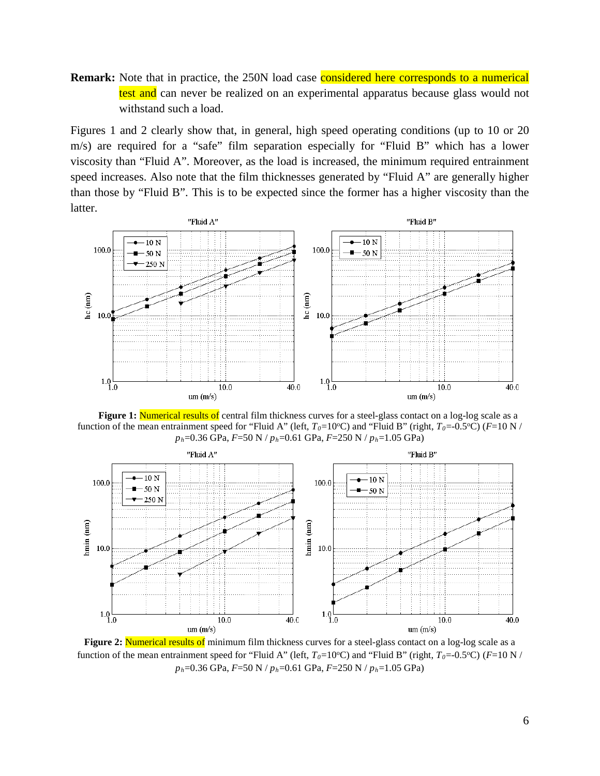**Remark:** Note that in practice, the 250N load case **considered here corresponds to a numerical** test and can never be realized on an experimental apparatus because glass would not withstand such a load.

Figures 1 and 2 clearly show that, in general, high speed operating conditions (up to 10 or 20 m/s) are required for a "safe" film separation especially for "Fluid B" which has a lower viscosity than "Fluid A". Moreover, as the load is increased, the minimum required entrainment speed increases. Also note that the film thicknesses generated by "Fluid A" are generally higher than those by "Fluid B". This is to be expected since the former has a higher viscosity than the latter.



**Figure 1:** Numerical results of central film thickness curves for a steel-glass contact on a log-log scale as a function of the mean entrainment speed for "Fluid A" (left,  $T_0=10^{\circ}$ C) and "Fluid B" (right,  $T_0=0.5^{\circ}$ C) ( $F=10$  N / *ph*=0.36 GPa, *F*=50 N / *ph*=0.61 GPa, *F*=250 N / *ph*=1.05 GPa)



**Figure 2:** Numerical results of minimum film thickness curves for a steel-glass contact on a log-log scale as a function of the mean entrainment speed for "Fluid A" (left,  $T_0=10$ °C) and "Fluid B" (right,  $T_0=0.5$ °C) ( $F=10$  N / *ph*=0.36 GPa, *F*=50 N / *ph*=0.61 GPa, *F*=250 N / *ph*=1.05 GPa)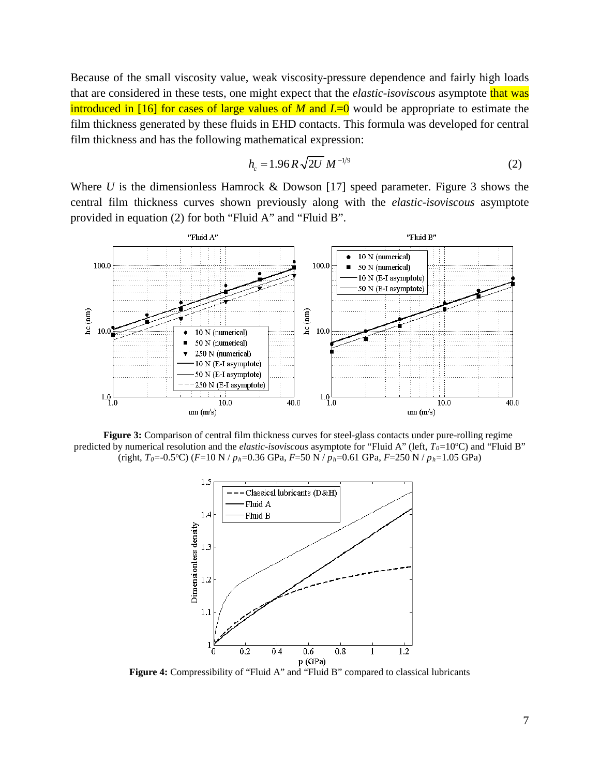Because of the small viscosity value, weak viscosity-pressure dependence and fairly high loads that are considered in these tests, one might expect that the *elastic-isoviscous* asymptote that was introduced in [\[16\]](#page-17-11) for cases of large values of *M* and *L*=0 would be appropriate to estimate the film thickness generated by these fluids in EHD contacts. This formula was developed for central film thickness and has the following mathematical expression:

$$
h_c = 1.96 R \sqrt{2U} M^{-1/9}
$$
 (2)

Where *U* is the dimensionless Hamrock & Dowson [\[17\]](#page-17-12) speed parameter. Figure 3 shows the central film thickness curves shown previously along with the *elastic-isoviscous* asymptote provided in equation (2) for both "Fluid A" and "Fluid B".



**Figure 3:** Comparison of central film thickness curves for steel-glass contacts under pure-rolling regime predicted by numerical resolution and the *elastic-isoviscous* asymptote for "Fluid A" (left,  $T_0=10$ °C) and "Fluid B" (right, *T0*=-0.5o C) (*F*=10 N / *ph*=0.36 GPa, *F*=50 N / *ph*=0.61 GPa, *F*=250 N / *ph*=1.05 GPa)



Figure 4: Compressibility of "Fluid A" and "Fluid B" compared to classical lubricants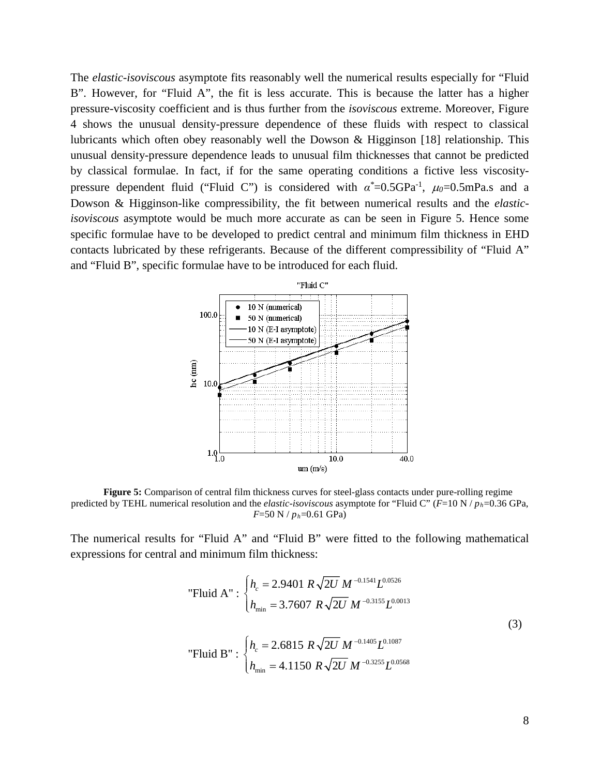The *elastic-isoviscous* asymptote fits reasonably well the numerical results especially for "Fluid B". However, for "Fluid A", the fit is less accurate. This is because the latter has a higher pressure-viscosity coefficient and is thus further from the *isoviscous* extreme. Moreover, Figure 4 shows the unusual density-pressure dependence of these fluids with respect to classical lubricants which often obey reasonably well the Dowson & Higginson [\[18\]](#page-17-13) relationship. This unusual density-pressure dependence leads to unusual film thicknesses that cannot be predicted by classical formulae. In fact, if for the same operating conditions a fictive less viscositypressure dependent fluid ("Fluid C") is considered with *α\** =0.5GPa-1 , <sup>µ</sup>*0*=0.5mPa.s and a Dowson & Higginson-like compressibility, the fit between numerical results and the *elasticisoviscous* asymptote would be much more accurate as can be seen in Figure 5. Hence some specific formulae have to be developed to predict central and minimum film thickness in EHD contacts lubricated by these refrigerants. Because of the different compressibility of "Fluid A" and "Fluid B", specific formulae have to be introduced for each fluid.



**Figure 5:** Comparison of central film thickness curves for steel-glass contacts under pure-rolling regime predicted by TEHL numerical resolution and the *elastic-isoviscous* asymptote for "Fluid C" (*F*=10 N / *ph*=0.36 GPa, *F*=50 N / *ph*=0.61 GPa)

The numerical results for "Fluid A" and "Fluid B" were fitted to the following mathematical expressions for central and minimum film thickness:

"Fluid A" : 
$$
\begin{cases} h_c = 2.9401 \ R \sqrt{2U} \ M^{-0.1541} L^{0.0526} \\ h_{\min} = 3.7607 \ R \sqrt{2U} \ M^{-0.3155} L^{0.0013} \end{cases}
$$
  
"Fluid B" : 
$$
\begin{cases} h_c = 2.6815 \ R \sqrt{2U} \ M^{-0.1405} L^{0.1087} \\ h_{\min} = 4.1150 \ R \sqrt{2U} \ M^{-0.3255} L^{0.0568} \end{cases}
$$
 (3)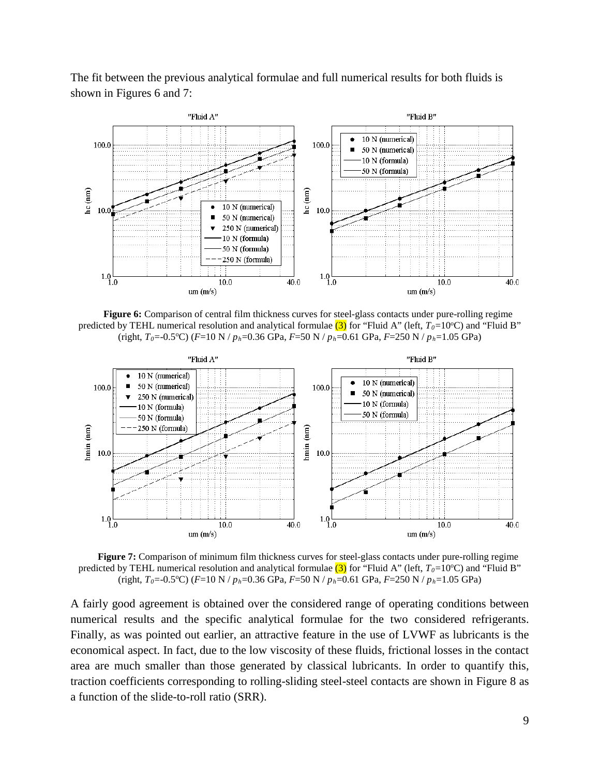The fit between the previous analytical formulae and full numerical results for both fluids is shown in Figures 6 and 7:



**Figure 6:** Comparison of central film thickness curves for steel-glass contacts under pure-rolling regime predicted by TEHL numerical resolution and analytical formulae  $(3)$  for "Fluid A" (left,  $T_0=10$ °C) and "Fluid B" (right, *T0*=-0.5o C) (*F*=10 N / *ph*=0.36 GPa, *F*=50 N / *ph*=0.61 GPa, *F*=250 N / *ph*=1.05 GPa)



**Figure 7:** Comparison of minimum film thickness curves for steel-glass contacts under pure-rolling regime predicted by TEHL numerical resolution and analytical formulae  $(3)$  for "Fluid A" (left,  $T_0=10$ °C) and "Fluid B" (right, *T0*=-0.5o C) (*F*=10 N / *ph*=0.36 GPa, *F*=50 N / *ph*=0.61 GPa, *F*=250 N / *ph*=1.05 GPa)

A fairly good agreement is obtained over the considered range of operating conditions between numerical results and the specific analytical formulae for the two considered refrigerants. Finally, as was pointed out earlier, an attractive feature in the use of LVWF as lubricants is the economical aspect. In fact, due to the low viscosity of these fluids, frictional losses in the contact area are much smaller than those generated by classical lubricants. In order to quantify this, traction coefficients corresponding to rolling-sliding steel-steel contacts are shown in Figure 8 as a function of the slide-to-roll ratio (SRR).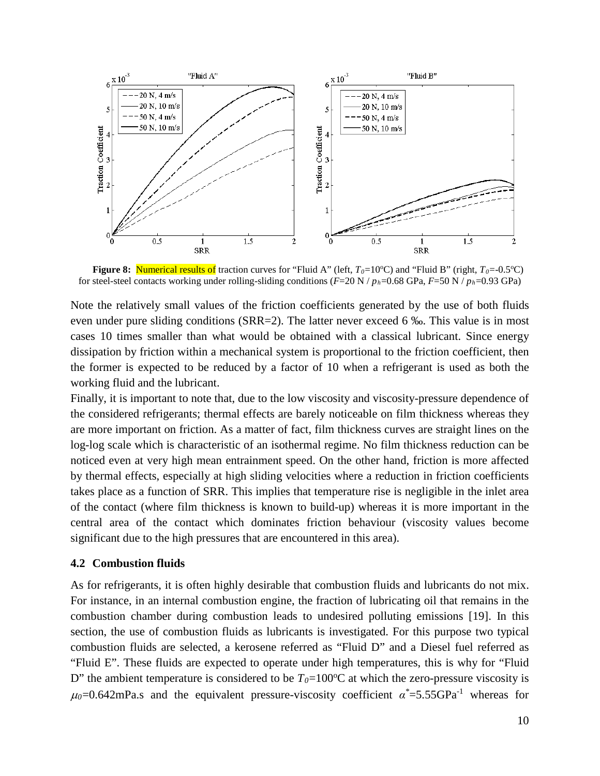

**Figure 8:** Numerical results of traction curves for "Fluid A" (left,  $T_0=10^{\circ}$ C) and "Fluid B" (right,  $T_0=0.5^{\circ}$ C) for steel-steel contacts working under rolling-sliding conditions  $(F=20 \text{ N}/p_h=0.68 \text{ GPa}, F=50 \text{ N}/p_h=0.93 \text{ GPa})$ 

Note the relatively small values of the friction coefficients generated by the use of both fluids even under pure sliding conditions (SRR=2). The latter never exceed 6 ‰. This value is in most cases 10 times smaller than what would be obtained with a classical lubricant. Since energy dissipation by friction within a mechanical system is proportional to the friction coefficient, then the former is expected to be reduced by a factor of 10 when a refrigerant is used as both the working fluid and the lubricant.

Finally, it is important to note that, due to the low viscosity and viscosity-pressure dependence of the considered refrigerants; thermal effects are barely noticeable on film thickness whereas they are more important on friction. As a matter of fact, film thickness curves are straight lines on the log-log scale which is characteristic of an isothermal regime. No film thickness reduction can be noticed even at very high mean entrainment speed. On the other hand, friction is more affected by thermal effects, especially at high sliding velocities where a reduction in friction coefficients takes place as a function of SRR. This implies that temperature rise is negligible in the inlet area of the contact (where film thickness is known to build-up) whereas it is more important in the central area of the contact which dominates friction behaviour (viscosity values become significant due to the high pressures that are encountered in this area).

## **4.2 Combustion fluids**

As for refrigerants, it is often highly desirable that combustion fluids and lubricants do not mix. For instance, in an internal combustion engine, the fraction of lubricating oil that remains in the combustion chamber during combustion leads to undesired polluting emissions [\[19\].](#page-17-14) In this section, the use of combustion fluids as lubricants is investigated. For this purpose two typical combustion fluids are selected, a kerosene referred as "Fluid D" and a Diesel fuel referred as "Fluid E". These fluids are expected to operate under high temperatures, this is why for "Fluid D" the ambient temperature is considered to be  $T_0=100\degree C$  at which the zero-pressure viscosity is  $\mu_0$ =0.642mPa.s and the equivalent pressure-viscosity coefficient  $\alpha^*$ =5.55GPa<sup>-1</sup> whereas for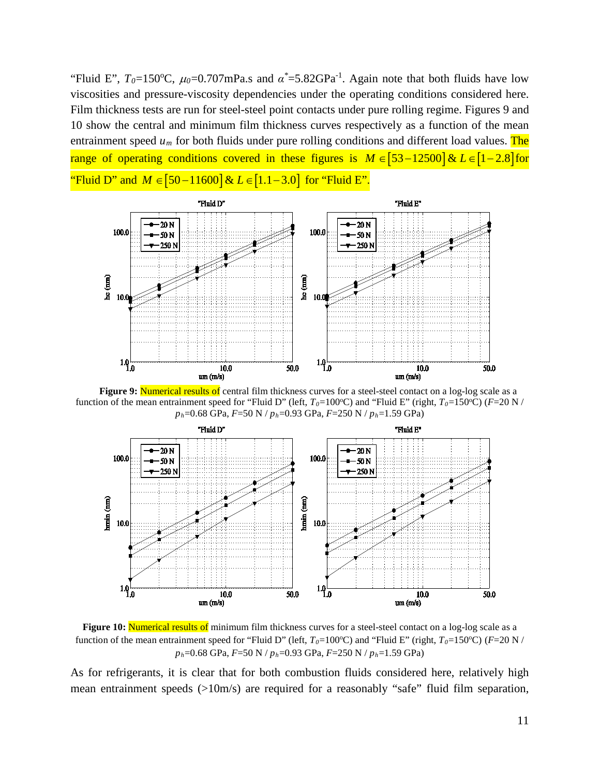"Fluid E",  $T_0 = 150$ °C,  $\mu_0 = 0.707$ mPa.s and  $\alpha^* = 5.82$ GPa<sup>-1</sup>. Again note that both fluids have low viscosities and pressure-viscosity dependencies under the operating conditions considered here. Film thickness tests are run for steel-steel point contacts under pure rolling regime. Figures 9 and 10 show the central and minimum film thickness curves respectively as a function of the mean entrainment speed  $u_m$  for both fluids under pure rolling conditions and different load values. The range of operating conditions covered in these figures is  $M \in [53-12500]$  &  $L \in [1-2.8]$  for "Fluid D" and *M* ∈ [50 – 11600] & *L* ∈ [1.1 – 3.0] for "Fluid E"



**Figure 9: Numerical results of central film thickness curves for a steel-steel contact on a log-log scale as a** function of the mean entrainment speed for "Fluid D" (left,  $T_0=100\text{°C}$ ) and "Fluid E" (right,  $T_0=150\text{°C}$ ) ( $F=20$  N / *ph*=0.68 GPa, *F*=50 N / *ph*=0.93 GPa, *F*=250 N / *ph*=1.59 GPa)



Figure 10: Numerical results of minimum film thickness curves for a steel-steel contact on a log-log scale as a function of the mean entrainment speed for "Fluid D" (left,  $T_0=100\text{°C}$ ) and "Fluid E" (right,  $T_0=150\text{°C}$ ) ( $F=20\text{ N}$  / *ph*=0.68 GPa, *F*=50 N / *ph*=0.93 GPa, *F*=250 N / *ph*=1.59 GPa)

As for refrigerants, it is clear that for both combustion fluids considered here, relatively high mean entrainment speeds (>10m/s) are required for a reasonably "safe" fluid film separation,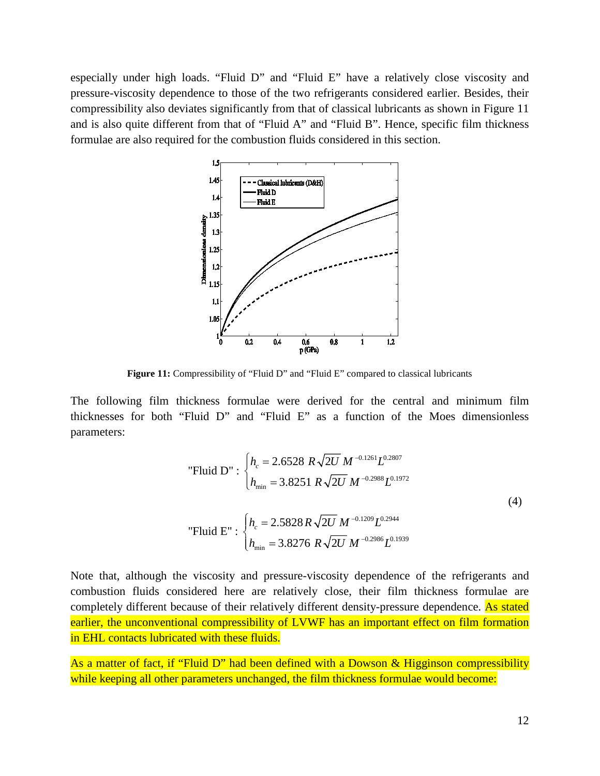especially under high loads. "Fluid D" and "Fluid E" have a relatively close viscosity and pressure-viscosity dependence to those of the two refrigerants considered earlier. Besides, their compressibility also deviates significantly from that of classical lubricants as shown in Figure 11 and is also quite different from that of "Fluid A" and "Fluid B". Hence, specific film thickness formulae are also required for the combustion fluids considered in this section.



**Figure 11:** Compressibility of "Fluid D" and "Fluid E" compared to classical lubricants

The following film thickness formulae were derived for the central and minimum film thicknesses for both "Fluid D" and "Fluid E" as a function of the Moes dimensionless parameters:

"Fluid D" : 
$$
\begin{cases} h_c = 2.6528 \ R \sqrt{2U} \ M^{-0.1261} L^{0.2807} \\ h_{\min} = 3.8251 \ R \sqrt{2U} \ M^{-0.2988} L^{0.1972} \end{cases}
$$
  
 "Fluid E" : 
$$
\begin{cases} h_c = 2.5828 \ R \sqrt{2U} \ M^{-0.1209} L^{0.2944} \\ h_{\min} = 3.8276 \ R \sqrt{2U} \ M^{-0.2986} L^{0.1939} \end{cases}
$$
 (4)

Note that, although the viscosity and pressure-viscosity dependence of the refrigerants and combustion fluids considered here are relatively close, their film thickness formulae are completely different because of their relatively different density-pressure dependence. As stated earlier, the unconventional compressibility of LVWF has an important effect on film formation in EHL contacts lubricated with these fluids.

As a matter of fact, if "Fluid D" had been defined with a Dowson & Higginson compressibility while keeping all other parameters unchanged, the film thickness formulae would become: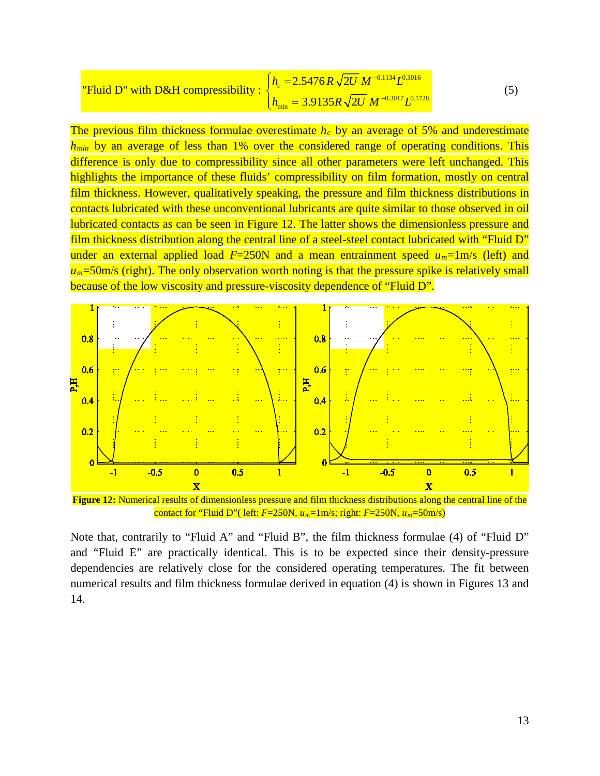"Fluid D" with D&H compressibility : 
$$
\begin{cases} h_c = 2.5476 R \sqrt{2U} M^{-0.1134} L^{0.3016} \\ h_{\min} = 3.9135 R \sqrt{2U} M^{-0.3017} L^{0.1728} \end{cases}
$$
 (5)

The previous film thickness formulae overestimate *hc* by an average of 5% and underestimate *h<sub>min</sub>* by an average of less than 1% over the considered range of operating conditions. This difference is only due to compressibility since all other parameters were left unchanged. This highlights the importance of these fluids' compressibility on film formation, mostly on central film thickness. However, qualitatively speaking, the pressure and film thickness distributions in contacts lubricated with these unconventional lubricants are quite similar to those observed in oil lubricated contacts as can be seen in Figure 12. The latter shows the dimensionless pressure and film thickness distribution along the central line of a steel-steel contact lubricated with "Fluid D" under an external applied load  $F=250N$  and a mean entrainment speed  $u_m=1\,\text{m/s}$  (left) and  $u_m$ =50m/s (right). The only observation worth noting is that the pressure spike is relatively small because of the low viscosity and pressure-viscosity dependence of "Fluid D".



contact for "Fluid D"( left: *F*=250N, *um*=1m/s; right: *F*=250N, *um*=50m/s)

Note that, contrarily to "Fluid A" and "Fluid B", the film thickness formulae (4) of "Fluid D" and "Fluid E" are practically identical. This is to be expected since their density-pressure dependencies are relatively close for the considered operating temperatures. The fit between numerical results and film thickness formulae derived in equation (4) is shown in Figures 13 and 14.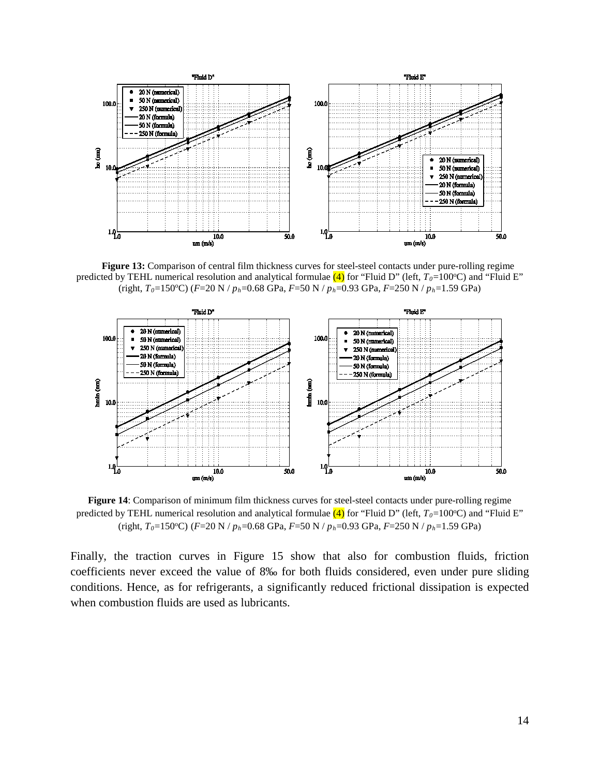

**Figure 13:** Comparison of central film thickness curves for steel-steel contacts under pure-rolling regime predicted by TEHL numerical resolution and analytical formulae  $(4)$  for "Fluid D" (left,  $T_0=100$ °C) and "Fluid E" (right, *T*<sub>0</sub>=150°C) (*F*=20 N /  $p_h$ =0.68 GPa, *F*=50 N /  $p_h$ =0.93 GPa, *F*=250 N /  $p_h$ =1.59 GPa)



**Figure 14**: Comparison of minimum film thickness curves for steel-steel contacts under pure-rolling regime predicted by TEHL numerical resolution and analytical formulae  $(4)$  for "Fluid D" (left,  $T_0$ =100°C) and "Fluid E" (right, *T0*=150o C) (*F*=20 N / *ph*=0.68 GPa, *F*=50 N / *ph*=0.93 GPa, *F*=250 N / *ph*=1.59 GPa)

Finally, the traction curves in Figure 15 show that also for combustion fluids, friction coefficients never exceed the value of 8‰ for both fluids considered, even under pure sliding conditions. Hence, as for refrigerants, a significantly reduced frictional dissipation is expected when combustion fluids are used as lubricants.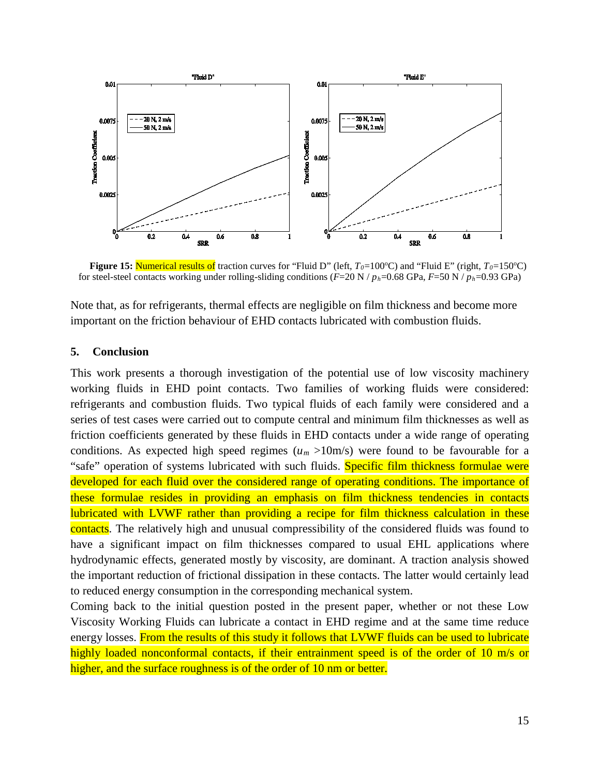

**Figure 15: Numerical results of** traction curves for "Fluid D" (left, *T*<sub>0</sub>=100°C) and "Fluid E" (right, *T*<sub>0</sub>=150°C) for steel-steel contacts working under rolling-sliding conditions (*F*=20 N / *ph*=0.68 GPa, *F*=50 N / *ph*=0.93 GPa)

Note that, as for refrigerants, thermal effects are negligible on film thickness and become more important on the friction behaviour of EHD contacts lubricated with combustion fluids.

#### **5. Conclusion**

This work presents a thorough investigation of the potential use of low viscosity machinery working fluids in EHD point contacts. Two families of working fluids were considered: refrigerants and combustion fluids. Two typical fluids of each family were considered and a series of test cases were carried out to compute central and minimum film thicknesses as well as friction coefficients generated by these fluids in EHD contacts under a wide range of operating conditions. As expected high speed regimes  $(u_m >10m/s)$  were found to be favourable for a "safe" operation of systems lubricated with such fluids. Specific film thickness formulae were developed for each fluid over the considered range of operating conditions. The importance of these formulae resides in providing an emphasis on film thickness tendencies in contacts lubricated with LVWF rather than providing a recipe for film thickness calculation in these contacts. The relatively high and unusual compressibility of the considered fluids was found to have a significant impact on film thicknesses compared to usual EHL applications where hydrodynamic effects, generated mostly by viscosity, are dominant. A traction analysis showed the important reduction of frictional dissipation in these contacts. The latter would certainly lead to reduced energy consumption in the corresponding mechanical system.

Coming back to the initial question posted in the present paper, whether or not these Low Viscosity Working Fluids can lubricate a contact in EHD regime and at the same time reduce energy losses. From the results of this study it follows that LVWF fluids can be used to lubricate highly loaded nonconformal contacts, if their entrainment speed is of the order of 10 m/s or higher, and the surface roughness is of the order of 10 nm or better.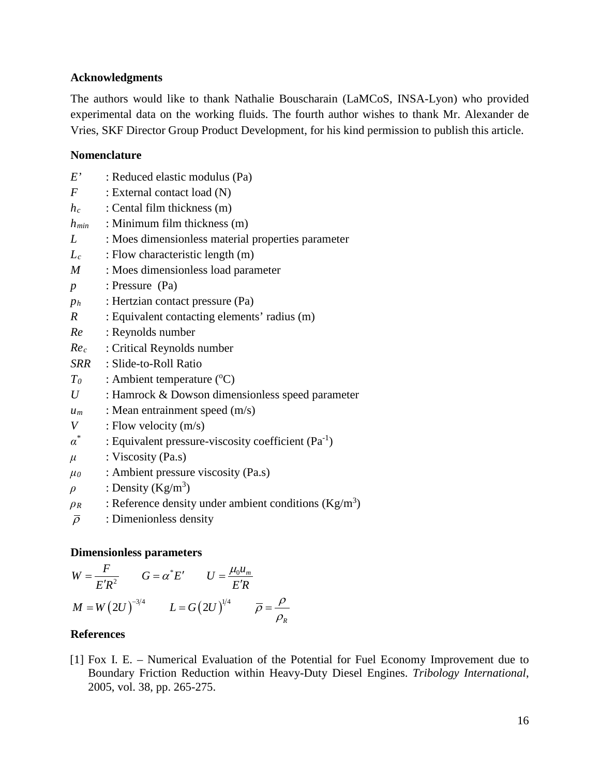## <span id="page-16-1"></span>**Acknowledgments**

The authors would like to thank Nathalie Bouscharain (LaMCoS, INSA-Lyon) who provided experimental data on the working fluids. The fourth author wishes to thank Mr. Alexander de Vries, SKF Director Group Product Development, for his kind permission to publish this article.

## **Nomenclature**

- *E'* : Reduced elastic modulus (Pa)
- *F* : External contact load (N)
- *hc* : Cental film thickness (m)
- *hmin* : Minimum film thickness (m)
- *L* : Moes dimensionless material properties parameter
- *L<sub>c</sub>* : Flow characteristic length (m)
- *M* : Moes dimensionless load parameter
- *p* : Pressure (Pa)
- *ph* : Hertzian contact pressure (Pa)
- *R* : Equivalent contacting elements' radius (m)
- *Re* : Reynolds number
- *Rec* : Critical Reynolds number
- *SRR* : Slide-to-Roll Ratio
- $T_0$  : Ambient temperature ( $^{\circ}$ C)
- *U* : Hamrock & Dowson dimensionless speed parameter
- $u_m$  : Mean entrainment speed  $(m/s)$
- *V* : Flow velocity (m/s)
- $α^*$  : Equivalent pressure-viscosity coefficient (Pa<sup>-1</sup>)
- $\mu$  : Viscosity (Pa.s)
- $\mu_0$  : Ambient pressure viscosity (Pa.s)
- $\rho$  : Density (Kg/m<sup>3</sup>)
- $\rho_R$  : Reference density under ambient conditions (Kg/m<sup>3</sup>)
- $\overline{\rho}$  : Dimenionless density

#### **Dimensionless parameters**

$$
W = \frac{F}{E'R^2} \qquad G = \alpha^* E' \qquad U = \frac{\mu_0 u_m}{E'R}
$$

$$
M = W (2U)^{-3/4} \qquad L = G (2U)^{1/4} \qquad \overline{\rho} = \frac{\rho}{\rho_R}
$$

## **References**

<span id="page-16-0"></span>[1] Fox I. E. – Numerical Evaluation of the Potential for Fuel Economy Improvement due to Boundary Friction Reduction within Heavy-Duty Diesel Engines. *Tribology International*, 2005, vol. 38, pp. 265-275.